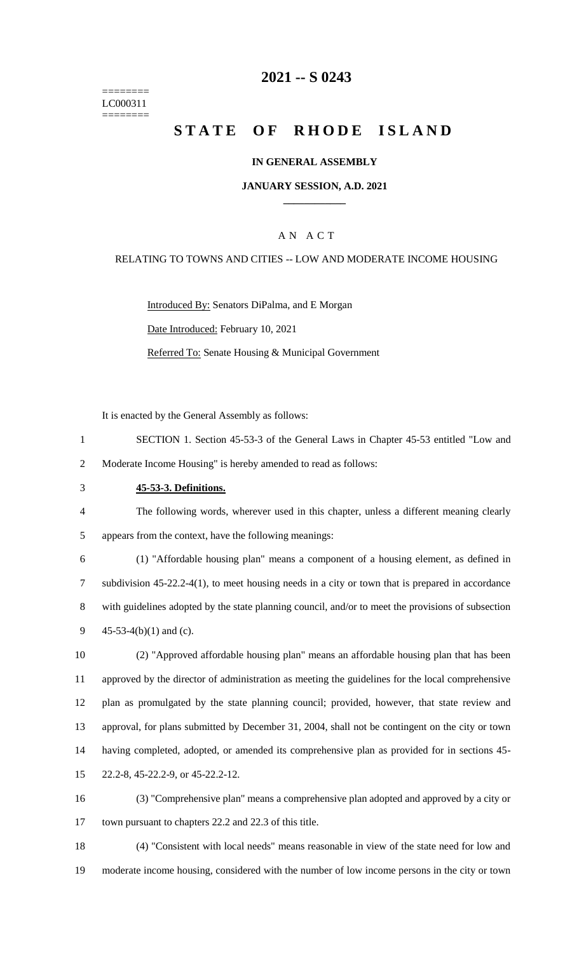======== LC000311 ========

## **-- S 0243**

# **STATE OF RHODE ISLAND**

#### **IN GENERAL ASSEMBLY**

#### **JANUARY SESSION, A.D. 2021 \_\_\_\_\_\_\_\_\_\_\_\_**

### A N A C T

#### RELATING TO TOWNS AND CITIES -- LOW AND MODERATE INCOME HOUSING

Introduced By: Senators DiPalma, and E Morgan Date Introduced: February 10, 2021 Referred To: Senate Housing & Municipal Government

It is enacted by the General Assembly as follows:

- SECTION 1. Section 45-53-3 of the General Laws in Chapter 45-53 entitled "Low and Moderate Income Housing" is hereby amended to read as follows:
- **45-53-3. Definitions.**

 The following words, wherever used in this chapter, unless a different meaning clearly appears from the context, have the following meanings:

 (1) "Affordable housing plan" means a component of a housing element, as defined in subdivision 45-22.2-4(1), to meet housing needs in a city or town that is prepared in accordance with guidelines adopted by the state planning council, and/or to meet the provisions of subsection 45-53-4(b)(1) and (c).

 (2) "Approved affordable housing plan" means an affordable housing plan that has been approved by the director of administration as meeting the guidelines for the local comprehensive plan as promulgated by the state planning council; provided, however, that state review and approval, for plans submitted by December 31, 2004, shall not be contingent on the city or town having completed, adopted, or amended its comprehensive plan as provided for in sections 45- 22.2-8, 45-22.2-9, or 45-22.2-12.

 (3) "Comprehensive plan" means a comprehensive plan adopted and approved by a city or town pursuant to chapters 22.2 and 22.3 of this title.

 (4) "Consistent with local needs" means reasonable in view of the state need for low and moderate income housing, considered with the number of low income persons in the city or town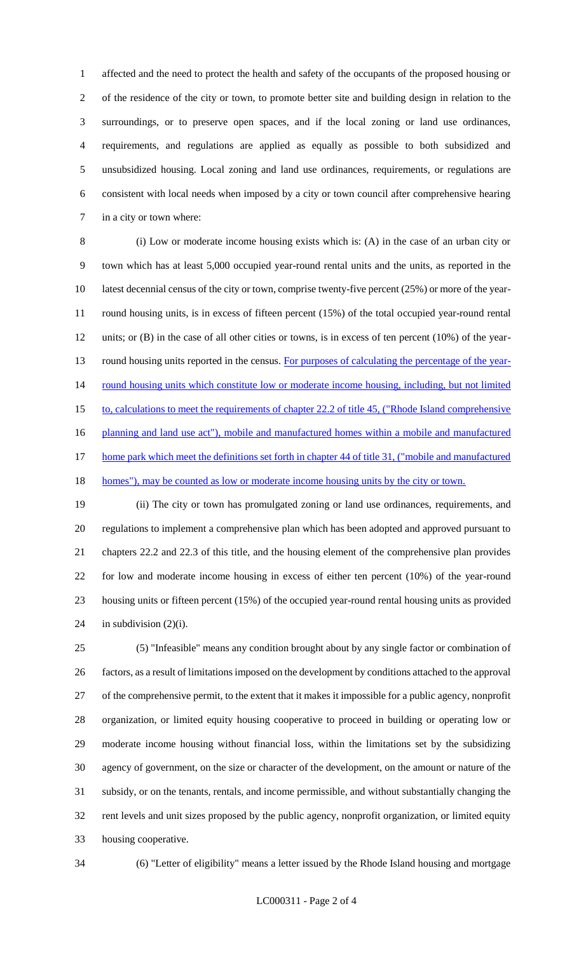affected and the need to protect the health and safety of the occupants of the proposed housing or of the residence of the city or town, to promote better site and building design in relation to the surroundings, or to preserve open spaces, and if the local zoning or land use ordinances, requirements, and regulations are applied as equally as possible to both subsidized and unsubsidized housing. Local zoning and land use ordinances, requirements, or regulations are consistent with local needs when imposed by a city or town council after comprehensive hearing in a city or town where:

 (i) Low or moderate income housing exists which is: (A) in the case of an urban city or town which has at least 5,000 occupied year-round rental units and the units, as reported in the 10 latest decennial census of the city or town, comprise twenty-five percent (25%) or more of the year- round housing units, is in excess of fifteen percent (15%) of the total occupied year-round rental units; or (B) in the case of all other cities or towns, is in excess of ten percent (10%) of the year-13 round housing units reported in the census. For purposes of calculating the percentage of the year-14 round housing units which constitute low or moderate income housing, including, but not limited 15 to, calculations to meet the requirements of chapter 22.2 of title 45, ("Rhode Island comprehensive 16 planning and land use act"), mobile and manufactured homes within a mobile and manufactured 17 home park which meet the definitions set forth in chapter 44 of title 31, ("mobile and manufactured 18 homes"), may be counted as low or moderate income housing units by the city or town.

 (ii) The city or town has promulgated zoning or land use ordinances, requirements, and regulations to implement a comprehensive plan which has been adopted and approved pursuant to chapters 22.2 and 22.3 of this title, and the housing element of the comprehensive plan provides for low and moderate income housing in excess of either ten percent (10%) of the year-round housing units or fifteen percent (15%) of the occupied year-round rental housing units as provided 24 in subdivision  $(2)(i)$ .

 (5) "Infeasible" means any condition brought about by any single factor or combination of factors, as a result of limitations imposed on the development by conditions attached to the approval of the comprehensive permit, to the extent that it makes it impossible for a public agency, nonprofit organization, or limited equity housing cooperative to proceed in building or operating low or moderate income housing without financial loss, within the limitations set by the subsidizing agency of government, on the size or character of the development, on the amount or nature of the subsidy, or on the tenants, rentals, and income permissible, and without substantially changing the rent levels and unit sizes proposed by the public agency, nonprofit organization, or limited equity housing cooperative.

(6) "Letter of eligibility" means a letter issued by the Rhode Island housing and mortgage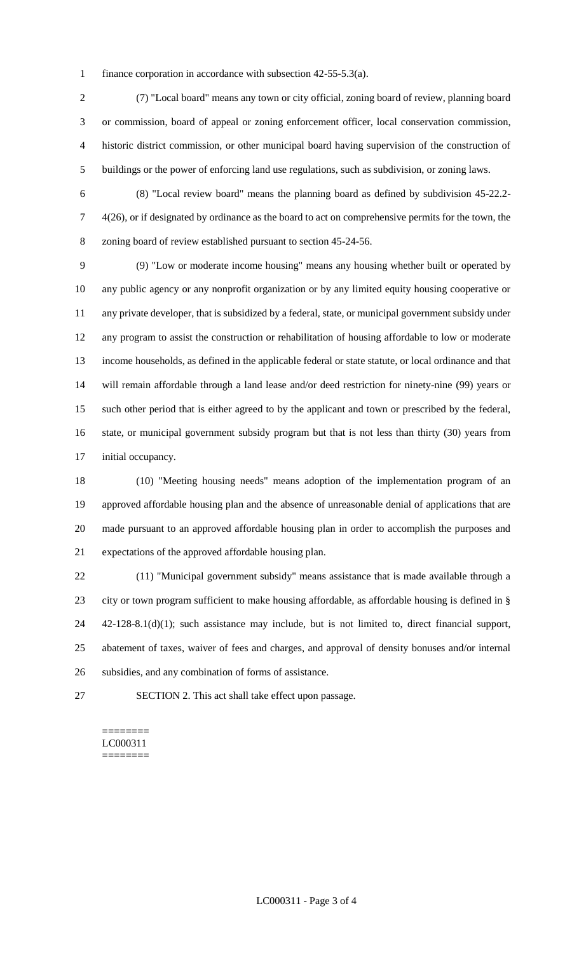finance corporation in accordance with subsection 42-55-5.3(a).

 (7) "Local board" means any town or city official, zoning board of review, planning board or commission, board of appeal or zoning enforcement officer, local conservation commission, historic district commission, or other municipal board having supervision of the construction of buildings or the power of enforcing land use regulations, such as subdivision, or zoning laws.

 (8) "Local review board" means the planning board as defined by subdivision 45-22.2- 4(26), or if designated by ordinance as the board to act on comprehensive permits for the town, the zoning board of review established pursuant to section 45-24-56.

 (9) "Low or moderate income housing" means any housing whether built or operated by any public agency or any nonprofit organization or by any limited equity housing cooperative or any private developer, that is subsidized by a federal, state, or municipal government subsidy under any program to assist the construction or rehabilitation of housing affordable to low or moderate income households, as defined in the applicable federal or state statute, or local ordinance and that will remain affordable through a land lease and/or deed restriction for ninety-nine (99) years or such other period that is either agreed to by the applicant and town or prescribed by the federal, state, or municipal government subsidy program but that is not less than thirty (30) years from initial occupancy.

 (10) "Meeting housing needs" means adoption of the implementation program of an approved affordable housing plan and the absence of unreasonable denial of applications that are made pursuant to an approved affordable housing plan in order to accomplish the purposes and expectations of the approved affordable housing plan.

 (11) "Municipal government subsidy" means assistance that is made available through a city or town program sufficient to make housing affordable, as affordable housing is defined in § 42-128-8.1(d)(1); such assistance may include, but is not limited to, direct financial support, abatement of taxes, waiver of fees and charges, and approval of density bonuses and/or internal subsidies, and any combination of forms of assistance.

SECTION 2. This act shall take effect upon passage.

#### ======== LC000311 ========